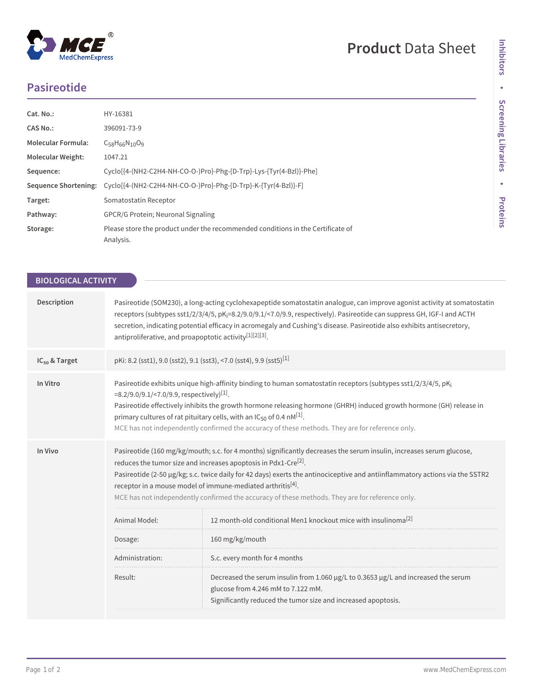## **Product** Data Sheet

## **Pasireotide**

| Cat. No.:                   | HY-16381                                                                                     |  |
|-----------------------------|----------------------------------------------------------------------------------------------|--|
| CAS No.:                    | 396091-73-9                                                                                  |  |
| <b>Molecular Formula:</b>   | $C_{58}H_{66}N_{10}O_9$                                                                      |  |
| <b>Molecular Weight:</b>    | 1047.21                                                                                      |  |
| Sequence:                   | Cyclo[{4-(NH2-C2H4-NH-CO-O-)Pro}-Phg-{D-Trp}-Lys-{Tyr(4-Bzl)}-Phe]                           |  |
| <b>Sequence Shortening:</b> | Cyclo[{4-(NH2-C2H4-NH-CO-O-)Pro}-Phg-{D-Trp}-K-{Tyr(4-Bzl)}-F]                               |  |
| Target:                     | Somatostatin Receptor                                                                        |  |
| Pathway:                    | <b>GPCR/G Protein: Neuronal Signaling</b>                                                    |  |
| Storage:                    | Please store the product under the recommended conditions in the Certificate of<br>Analysis. |  |

| <b>BIOLOGICAL ACTIVITY</b> |                                                                                                                                                                                                                                                                                                                                                                                                                                                                                                                   |                                                                                                                                                                                           |  |
|----------------------------|-------------------------------------------------------------------------------------------------------------------------------------------------------------------------------------------------------------------------------------------------------------------------------------------------------------------------------------------------------------------------------------------------------------------------------------------------------------------------------------------------------------------|-------------------------------------------------------------------------------------------------------------------------------------------------------------------------------------------|--|
| Description                | Pasireotide (SOM230), a long-acting cyclohexapeptide somatostatin analogue, can improve agonist activity at somatostatin<br>receptors (subtypes sst1/2/3/4/5, pK <sub>i</sub> =8.2/9.0/9.1/<7.0/9.9, respectively). Pasireotide can suppress GH, IGF-I and ACTH<br>secretion, indicating potential efficacy in acromegaly and Cushing's disease. Pasireotide also exhibits antisecretory,<br>antiproliferative, and proapoptotic activity <sup>[1][2][3]</sup> .                                                  |                                                                                                                                                                                           |  |
| IC <sub>50</sub> & Target  | pKi: 8.2 (sst1), 9.0 (sst2), 9.1 (sst3), <7.0 (sst4), 9.9 (sst5) <sup>[1]</sup>                                                                                                                                                                                                                                                                                                                                                                                                                                   |                                                                                                                                                                                           |  |
| In Vitro                   | Pasireotide exhibits unique high-affinity binding to human somatostatin receptors (subtypes sst1/2/3/4/5, pK <sub>i</sub><br>=8.2/9.0/9.1/<7.0/9.9, respectively) <sup>[1]</sup> .<br>Pasireotide effectively inhibits the growth hormone releasing hormone (GHRH) induced growth hormone (GH) release in<br>primary cultures of rat pituitary cells, with an IC <sub>50</sub> of 0.4 nM <sup>[1]</sup> .<br>MCE has not independently confirmed the accuracy of these methods. They are for reference only.      |                                                                                                                                                                                           |  |
| In Vivo                    | Pasireotide (160 mg/kg/mouth; s.c. for 4 months) significantly decreases the serum insulin, increases serum glucose,<br>reduces the tumor size and increases apoptosis in Pdx1-Cre <sup>[2]</sup> .<br>Pasireotide (2-50 µg/kg; s.c. twice daily for 42 days) exerts the antinociceptive and antiinflammatory actions via the SSTR2<br>receptor in a mouse model of immune-mediated arthritis <sup>[4]</sup> .<br>MCE has not independently confirmed the accuracy of these methods. They are for reference only. |                                                                                                                                                                                           |  |
|                            | Animal Model:                                                                                                                                                                                                                                                                                                                                                                                                                                                                                                     | 12 month-old conditional Men1 knockout mice with insulinoma <sup>[2]</sup>                                                                                                                |  |
|                            | Dosage:                                                                                                                                                                                                                                                                                                                                                                                                                                                                                                           | 160 mg/kg/mouth                                                                                                                                                                           |  |
|                            | Administration:                                                                                                                                                                                                                                                                                                                                                                                                                                                                                                   | S.c. every month for 4 months                                                                                                                                                             |  |
|                            | Result:                                                                                                                                                                                                                                                                                                                                                                                                                                                                                                           | Decreased the serum insulin from 1.060 µg/L to 0.3653 µg/L and increased the serum<br>glucose from 4.246 mM to 7.122 mM.<br>Significantly reduced the tumor size and increased apoptosis. |  |